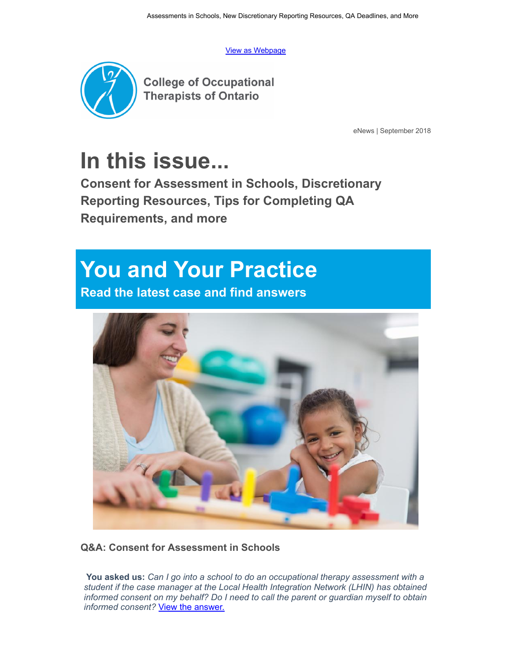[View as Webpage](https://campaign.r20.constantcontact.com/render?ca=9fcd163b-42f4-4e84-97c3-49c0d45e3202&preview=true&m=1121620156777&id=preview)



**College of Occupational Therapists of Ontario** 

eNews | September 2018

# **[In this issue...](https://www.coto.org/)**

**Consent for Assessment in Schools, Discretionary Reporting Resources, Tips for Completing QA Requirements, and more**

## **You and Your Practice**

**Read the latest case and find answers**



**Q&A: Consent for Assessment in Schools**

 **You asked us:** *Can I go into a school to do an occupational therapy assessment with a st[udent if the case manager at the Local Health Integration Network \(LHIN\) has obtaine](https://www.coto.org/quality-practice/practice-support/question-and-answer/september-2018-question-and-answer-assessments-in-schools)d informed consent on my behalf? Do I need to call the parent or guardian myself to obtain informed consent?* View the answer.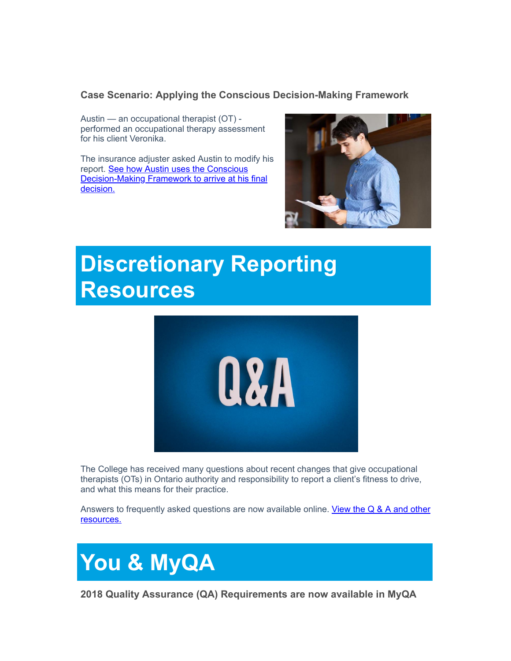#### **Case Scenario: Applying the Conscious Decision-Making Framework**

Austin — an occupational therapist (OT) performed an occupational therapy assessment for his client Veronika.

The insurance adjuster asked Austin to modify his report. See how Austin uses the Conscious [Decision-Making Framework to arrive at his final](https://www.coto.org/quality-practice/practice-support/case-study/september-2018-case-study) decision.



### **Discretionary Reporting Resources**



The College has received many questions about recent changes that give occupational therapists (OTs) in Ontario authority and responsibility to report a client's fitness to drive, and what this means for their practice.

[Answers to frequently asked questions are now available online. View the Q & A and other](https://www.coto.org/news/q-a-discretionary-reporting-for-fitness-to-drive) resources.



**2018 Quality Assurance (QA) Requirements are now available in MyQA**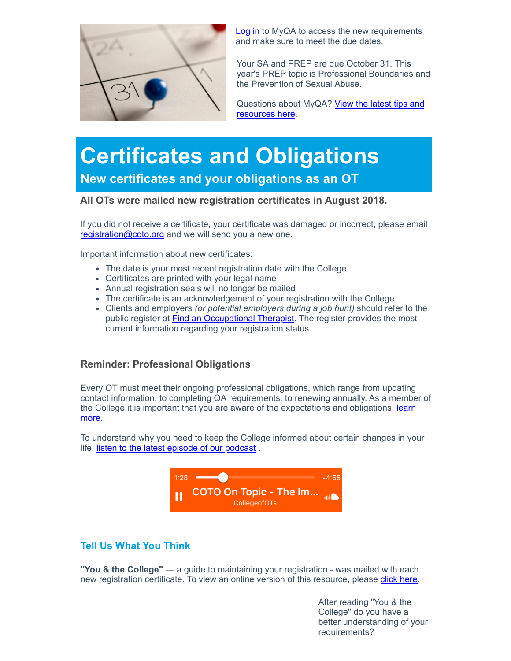

**Log in** to MyQA to access the new requirements and make sure to meet the due dates.

Your SA and PREP are due October 31. This year's PREP topic is Professional Boundaries and [the Prevention of Sexual Abuse.](https://www.coto.org/news/quality-assurance-tips-reminders-2018)

Questions about MyQA? View the latest tips and resources here.

### **Certificates and Obligations New certificates and your obligations as an OT**

#### **All OTs were mailed new registration certificates in August 2018.**

If you did not receive a certificate, your certificate was damaged or incorrect, please email [registration@coto.org](mailto:registration@coto.org) and we will send you a new one.

Important information about new certificates:

- The date is your most recent registration date with the College
- Certificates are printed with your legal name
- Annual registration seals will no longer be mailed
- The certificate is an acknowledgement of your registration with the College
- Clients and employers *(or potential employers during a job hunt)* should refer to the public register at **[Find an Occupational Therapist](http://bit.ly/FindanOT)**. The register provides the most current information regarding your registration status

#### **Reminder: Professional Obligations**

Every OT must meet their ongoing professional obligations, which range from updating contact information, to completing QA requirements, to renewing annually. As a member of [the College it is important that you are aware of the expectations and obligations, learn](https://www.coto.org/obligations) more.

To understand why you need to keep the College informed about certain changes in your life, [listen to the latest episode of our podcast](https://www.coto.org/standards-and-resources/podcasts/coto-on-topic-updating-your-information).



#### **Tell Us What You Think**

**"You & the College"** — a guide to maintaining your registration - was mailed with each new registration certificate. To view an online version of this resource, please [click here](https://www.coto.org/obligations).

> After reading "You & the College" do you have a better understanding of your requirements?